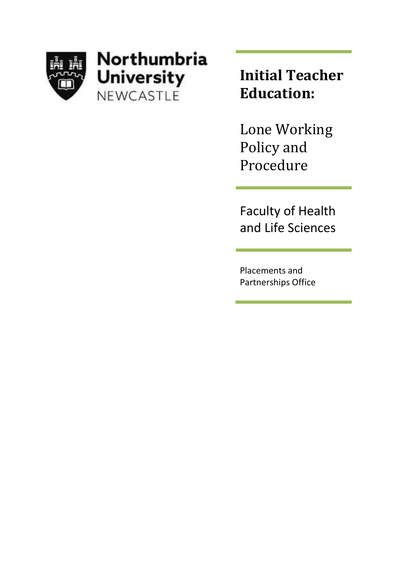

# Northumbria **University** NEWCASTLE

**Initial Teacher Education:**

Lone Working Policy and Procedure

Faculty of Health and Life Sciences

Placements and Partnerships Office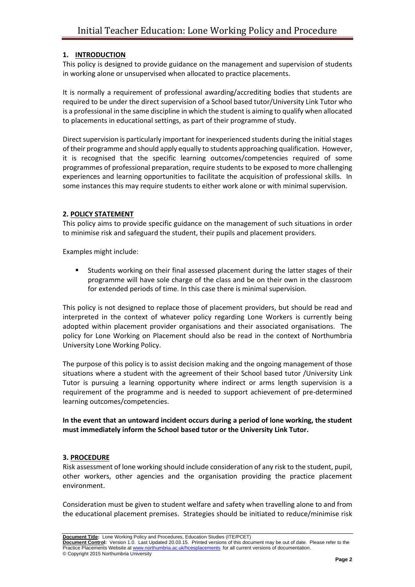## **1. INTRODUCTION**

This policy is designed to provide guidance on the management and supervision of students in working alone or unsupervised when allocated to practice placements.

It is normally a requirement of professional awarding/accrediting bodies that students are required to be under the direct supervision of a School based tutor/University Link Tutor who is a professional in the same discipline in which the student is aiming to qualify when allocated to placements in educational settings, as part of their programme of study.

Direct supervision is particularly important for inexperienced students during the initial stages of their programme and should apply equally to students approaching qualification. However, it is recognised that the specific learning outcomes/competencies required of some programmes of professional preparation, require students to be exposed to more challenging experiences and learning opportunities to facilitate the acquisition of professional skills. In some instances this may require students to either work alone or with minimal supervision.

#### **2. POLICY STATEMENT**

This policy aims to provide specific guidance on the management of such situations in order to minimise risk and safeguard the student, their pupils and placement providers.

Examples might include:

Students working on their final assessed placement during the latter stages of their programme will have sole charge of the class and be on their own in the classroom for extended periods of time. In this case there is minimal supervision.

This policy is not designed to replace those of placement providers, but should be read and interpreted in the context of whatever policy regarding Lone Workers is currently being adopted within placement provider organisations and their associated organisations. The policy for Lone Working on Placement should also be read in the context of Northumbria University Lone Working Policy.

The purpose of this policy is to assist decision making and the ongoing management of those situations where a student with the agreement of their School based tutor /University Link Tutor is pursuing a learning opportunity where indirect or arms length supervision is a requirement of the programme and is needed to support achievement of pre-determined learning outcomes/competencies.

**In the event that an untoward incident occurs during a period of lone working, the student must immediately inform the School based tutor or the University Link Tutor.**

## **3. PROCEDURE**

Risk assessment of lone working should include consideration of any risk to the student, pupil, other workers, other agencies and the organisation providing the practice placement environment.

Consideration must be given to student welfare and safety when travelling alone to and from the educational placement premises. Strategies should be initiated to reduce/minimise risk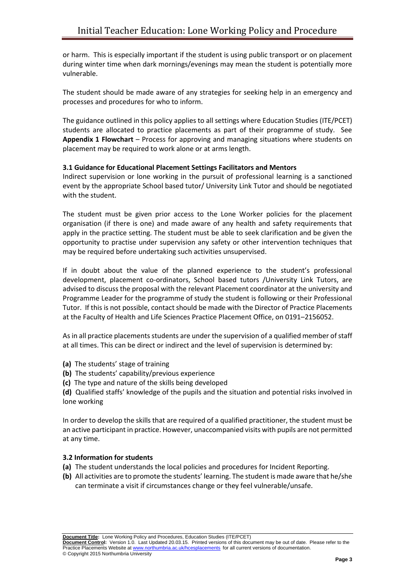or harm. This is especially important if the student is using public transport or on placement during winter time when dark mornings/evenings may mean the student is potentially more vulnerable.

The student should be made aware of any strategies for seeking help in an emergency and processes and procedures for who to inform.

The guidance outlined in this policy applies to all settings where Education Studies (ITE/PCET) students are allocated to practice placements as part of their programme of study. See **Appendix 1 Flowchart** – Process for approving and managing situations where students on placement may be required to work alone or at arms length.

#### **3.1 Guidance for Educational Placement Settings Facilitators and Mentors**

Indirect supervision or lone working in the pursuit of professional learning is a sanctioned event by the appropriate School based tutor/ University Link Tutor and should be negotiated with the student.

The student must be given prior access to the Lone Worker policies for the placement organisation (if there is one) and made aware of any health and safety requirements that apply in the practice setting. The student must be able to seek clarification and be given the opportunity to practise under supervision any safety or other intervention techniques that may be required before undertaking such activities unsupervised.

If in doubt about the value of the planned experience to the student's professional development, placement co-ordinators, School based tutors /University Link Tutors, are advised to discuss the proposal with the relevant Placement coordinator at the university and Programme Leader for the programme of study the student is following or their Professional Tutor. If this is not possible, contact should be made with the Director of Practice Placements at the Faculty of Health and Life Sciences Practice Placement Office, on 0191–2156052.

As in all practice placements students are under the supervision of a qualified member of staff at all times. This can be direct or indirect and the level of supervision is determined by:

- **(a)** The students' stage of training
- **(b)** The students' capability/previous experience
- **(c)** The type and nature of the skills being developed

**(d)** Qualified staffs' knowledge of the pupils and the situation and potential risks involved in lone working

In order to develop the skills that are required of a qualified practitioner, the student must be an active participant in practice. However, unaccompanied visits with pupils are not permitted at any time.

## **3.2 Information for students**

- **(a)** The student understands the local policies and procedures for Incident Reporting.
- **(b)** All activities are to promote the students' learning. The student is made aware that he/she can terminate a visit if circumstances change or they feel vulnerable/unsafe.